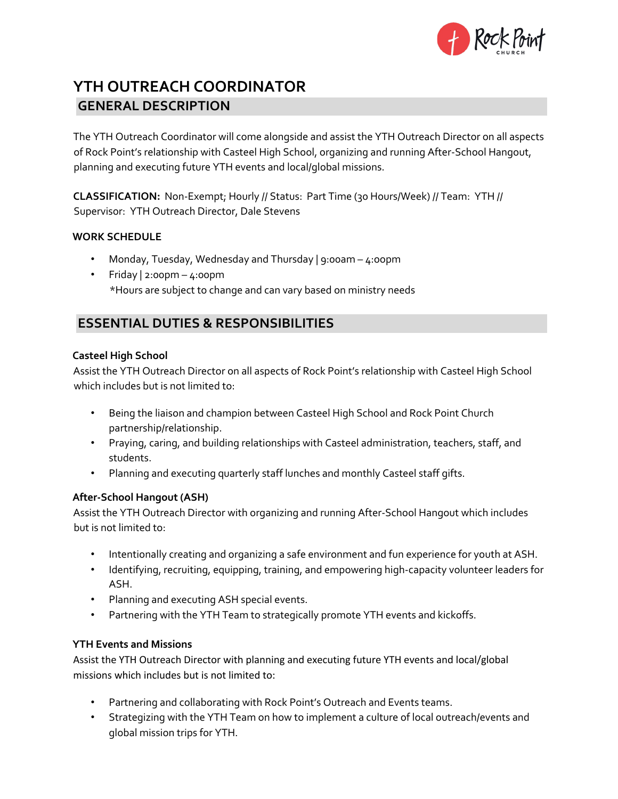

# **YTH OUTREACH COORDINATOR GENERAL DESCRIPTION**

The YTH Outreach Coordinator will come alongside and assist the YTH Outreach Director on all aspects of Rock Point's relationship with Casteel High School, organizing and running After-School Hangout, planning and executing future YTH events and local/global missions.

**CLASSIFICATION:** Non-Exempt; Hourly // Status: Part Time (30 Hours/Week) // Team: YTH // Supervisor: YTH Outreach Director, Dale Stevens

### **WORK SCHEDULE**

- Monday, Tuesday, Wednesday and Thursday | 9:00am 4:oopm
- Friday | 2:00pm 4:00pm \*Hours are subject to change and can vary based on ministry needs

### **ESSENTIAL DUTIES & RESPONSIBILITIES**

### **Casteel High School**

Assist the YTH Outreach Director on all aspects of Rock Point's relationship with Casteel High School which includes but is not limited to:

- Being the liaison and champion between Casteel High School and Rock Point Church partnership/relationship.
- Praying, caring, and building relationships with Casteel administration, teachers, staff, and students.
- Planning and executing quarterly staff lunches and monthly Casteel staff gifts.

### **After-School Hangout (ASH)**

Assist the YTH Outreach Director with organizing and running After-School Hangout which includes but is not limited to:

- Intentionally creating and organizing a safe environment and fun experience for youth at ASH.
- Identifying, recruiting, equipping, training, and empowering high-capacity volunteer leaders for ASH.
- Planning and executing ASH special events.
- Partnering with the YTH Team to strategically promote YTH events and kickoffs.

#### **YTH Events and Missions**

Assist the YTH Outreach Director with planning and executing future YTH events and local/global missions which includes but is not limited to:

- Partnering and collaborating with Rock Point's Outreach and Events teams.
- Strategizing with the YTH Team on how to implement a culture of local outreach/events and global mission trips for YTH.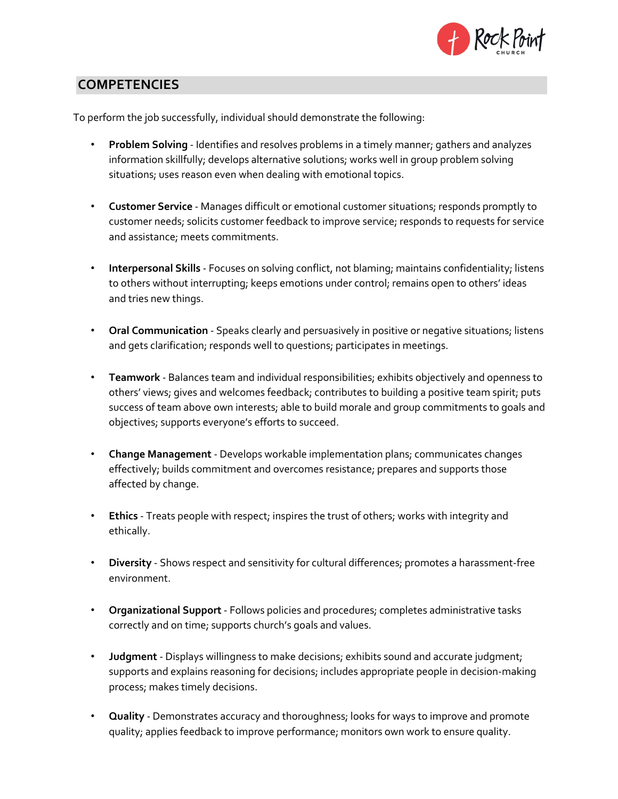

# **COMPETENCIES**

To perform the job successfully, individual should demonstrate the following:

- **Problem Solving** Identifies and resolves problems in a timely manner; gathers and analyzes information skillfully; develops alternative solutions; works well in group problem solving situations; uses reason even when dealing with emotional topics.
- **Customer Service** Manages difficult or emotional customer situations; responds promptly to customer needs; solicits customer feedback to improve service; responds to requests for service and assistance; meets commitments.
- **Interpersonal Skills** Focuses on solving conflict, not blaming; maintains confidentiality; listens to others without interrupting; keeps emotions under control; remains open to others' ideas and tries new things.
- **Oral Communication** Speaks clearly and persuasively in positive or negative situations; listens and gets clarification; responds well to questions; participates in meetings.
- **Teamwork** Balances team and individual responsibilities; exhibits objectively and openness to others' views; gives and welcomes feedback; contributes to building a positive team spirit; puts success of team above own interests; able to build morale and group commitments to goals and objectives; supports everyone's efforts to succeed.
- **Change Management** Develops workable implementation plans; communicates changes effectively; builds commitment and overcomes resistance; prepares and supports those affected by change.
- **Ethics** Treats people with respect; inspires the trust of others; works with integrity and ethically.
- **Diversity** Shows respect and sensitivity for cultural differences; promotes a harassment-free environment.
- **Organizational Support** Follows policies and procedures; completes administrative tasks correctly and on time; supports church's goals and values.
- **Judgment** Displays willingness to make decisions; exhibits sound and accurate judgment; supports and explains reasoning for decisions; includes appropriate people in decision-making process; makes timely decisions.
- **Quality** Demonstrates accuracy and thoroughness; looks for ways to improve and promote quality; applies feedback to improve performance; monitors own work to ensure quality.